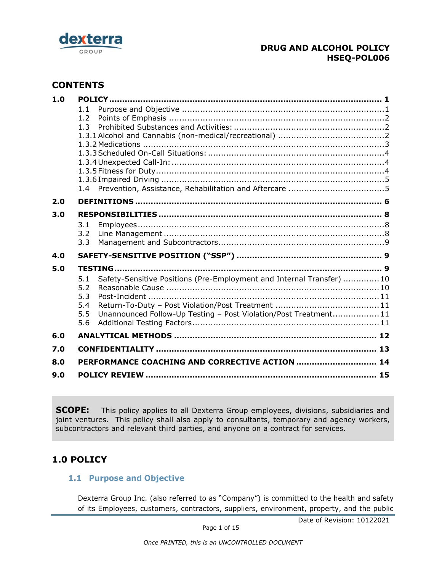

# **CONTENTS**

| 1.0 |                                                                             |  |
|-----|-----------------------------------------------------------------------------|--|
|     | 1.1                                                                         |  |
|     | 1.2                                                                         |  |
|     | 1.3                                                                         |  |
|     |                                                                             |  |
|     |                                                                             |  |
|     |                                                                             |  |
|     |                                                                             |  |
|     |                                                                             |  |
|     |                                                                             |  |
| 2.0 |                                                                             |  |
| 3.0 |                                                                             |  |
|     | 3.1                                                                         |  |
|     | 3.2                                                                         |  |
|     | 3.3                                                                         |  |
| 4.0 |                                                                             |  |
| 5.0 |                                                                             |  |
|     | Safety-Sensitive Positions (Pre-Employment and Internal Transfer) 10<br>5.1 |  |
|     | 5.2                                                                         |  |
|     | 5.3                                                                         |  |
|     | 5.4                                                                         |  |
|     | Unannounced Follow-Up Testing - Post Violation/Post Treatment11<br>5.5      |  |
|     | 5.6                                                                         |  |
| 6.0 |                                                                             |  |
| 7.0 |                                                                             |  |
| 8.0 |                                                                             |  |
| 9.0 |                                                                             |  |
|     |                                                                             |  |

**SCOPE:** This policy applies to all Dexterra Group employees, divisions, subsidiaries and joint ventures. This policy shall also apply to consultants, temporary and agency workers, subcontractors and relevant third parties, and anyone on a contract for services.

# <span id="page-0-1"></span><span id="page-0-0"></span>**1.0 POLICY**

## **1.1 Purpose and Objective**

Dexterra Group Inc. (also referred to as "Company") is committed to the health and safety of its Employees, customers, contractors, suppliers, environment, property, and the public

Date of Revision: 10122021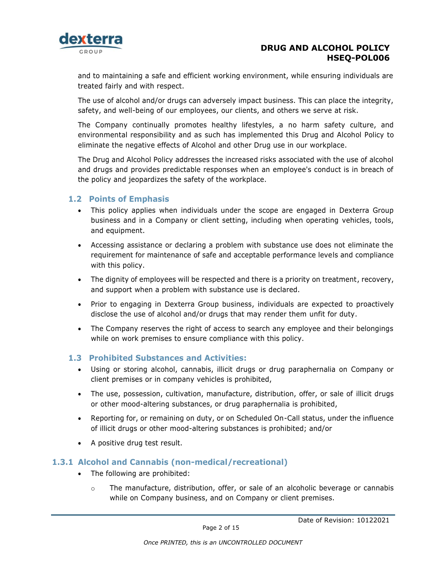

and to maintaining a safe and efficient working environment, while ensuring individuals are treated fairly and with respect.

The use of alcohol and/or drugs can adversely impact business. This can place the integrity, safety, and well-being of our employees, our clients, and others we serve at risk.

The Company continually promotes healthy lifestyles, a no harm safety culture, and environmental responsibility and as such has implemented this Drug and Alcohol Policy to eliminate the negative effects of Alcohol and other Drug use in our workplace.

The Drug and Alcohol Policy addresses the increased risks associated with the use of alcohol and drugs and provides predictable responses when an employee's conduct is in breach of the policy and jeopardizes the safety of the workplace.

#### <span id="page-1-0"></span>**1.2 Points of Emphasis**

- This policy applies when individuals under the scope are engaged in Dexterra Group business and in a Company or client setting, including when operating vehicles, tools, and equipment.
- Accessing assistance or declaring a problem with substance use does not eliminate the requirement for maintenance of safe and acceptable performance levels and compliance with this policy.
- The dignity of employees will be respected and there is a priority on treatment, recovery, and support when a problem with substance use is declared.
- Prior to engaging in Dexterra Group business, individuals are expected to proactively disclose the use of alcohol and/or drugs that may render them unfit for duty.
- The Company reserves the right of access to search any employee and their belongings while on work premises to ensure compliance with this policy.

#### <span id="page-1-1"></span>**1.3 Prohibited Substances and Activities:**

- Using or storing alcohol, cannabis, illicit drugs or drug paraphernalia on Company or client premises or in company vehicles is prohibited,
- The use, possession, cultivation, manufacture, distribution, offer, or sale of illicit drugs or other mood-altering substances, or drug paraphernalia is prohibited,
- Reporting for, or remaining on duty, or on Scheduled On-Call status, under the influence of illicit drugs or other mood-altering substances is prohibited; and/or
- A positive drug test result.

#### <span id="page-1-2"></span>**1.3.1 Alcohol and Cannabis (non-medical/recreational)**

- The following are prohibited:
	- $\circ$  The manufacture, distribution, offer, or sale of an alcoholic beverage or cannabis while on Company business, and on Company or client premises.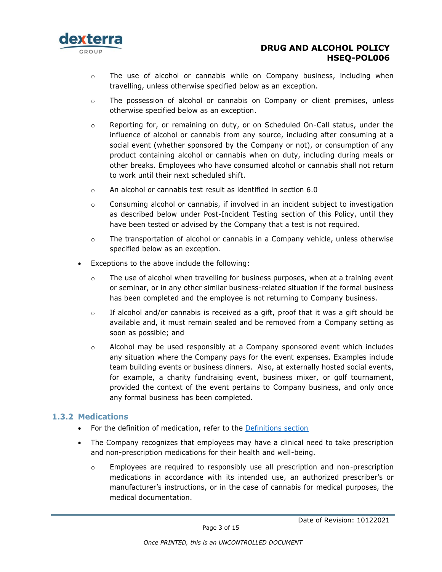

- $\circ$  The use of alcohol or cannabis while on Company business, including when travelling, unless otherwise specified below as an exception.
- $\circ$  The possession of alcohol or cannabis on Company or client premises, unless otherwise specified below as an exception.
- $\circ$  Reporting for, or remaining on duty, or on Scheduled On-Call status, under the influence of alcohol or cannabis from any source, including after consuming at a social event (whether sponsored by the Company or not), or consumption of any product containing alcohol or cannabis when on duty, including during meals or other breaks. Employees who have consumed alcohol or cannabis shall not return to work until their next scheduled shift.
- $\Omega$  An alcohol or cannabis test result as identified in section 6.0
- o Consuming alcohol or cannabis, if involved in an incident subject to investigation as described below under Post-Incident Testing section of this Policy, until they have been tested or advised by the Company that a test is not required.
- $\circ$  The transportation of alcohol or cannabis in a Company vehicle, unless otherwise specified below as an exception.
- Exceptions to the above include the following:
	- $\circ$  The use of alcohol when travelling for business purposes, when at a training event or seminar, or in any other similar business-related situation if the formal business has been completed and the employee is not returning to Company business.
	- $\circ$  If alcohol and/or cannabis is received as a gift, proof that it was a gift should be available and, it must remain sealed and be removed from a Company setting as soon as possible; and
	- $\circ$  Alcohol may be used responsibly at a Company sponsored event which includes any situation where the Company pays for the event expenses. Examples include team building events or business dinners. Also, at externally hosted social events, for example, a charity fundraising event, business mixer, or golf tournament, provided the context of the event pertains to Company business, and only once any formal business has been completed.

#### <span id="page-2-0"></span>**1.3.2 Medications**

- For the definition of medication, refer to the **Definitions section**
- The Company recognizes that employees may have a clinical need to take prescription and non-prescription medications for their health and well-being.
	- $\circ$  Employees are required to responsibly use all prescription and non-prescription medications in accordance with its intended use, an authorized prescriber's or manufacturer's instructions, or in the case of cannabis for medical purposes, the medical documentation.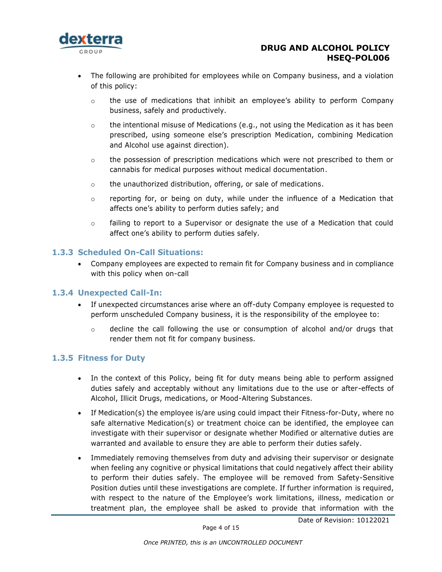

- The following are prohibited for employees while on Company business, and a violation of this policy:
	- $\circ$  the use of medications that inhibit an employee's ability to perform Company business, safely and productively.
	- $\circ$  the intentional misuse of Medications (e.g., not using the Medication as it has been prescribed, using someone else's prescription Medication, combining Medication and Alcohol use against direction).
	- $\circ$  the possession of prescription medications which were not prescribed to them or cannabis for medical purposes without medical documentation.
	- o the unauthorized distribution, offering, or sale of medications.
	- o reporting for, or being on duty, while under the influence of a Medication that affects one's ability to perform duties safely; and
	- $\circ$  failing to report to a Supervisor or designate the use of a Medication that could affect one's ability to perform duties safely.

### <span id="page-3-0"></span>**1.3.3 Scheduled On-Call Situations:**

• Company employees are expected to remain fit for Company business and in compliance with this policy when on-call

#### <span id="page-3-1"></span>**1.3.4 Unexpected Call-In:**

- If unexpected circumstances arise where an off-duty Company employee is requested to perform unscheduled Company business, it is the responsibility of the employee to:
	- o decline the call following the use or consumption of alcohol and/or drugs that render them not fit for company business.

#### <span id="page-3-2"></span>**1.3.5 Fitness for Duty**

- In the context of this Policy, being fit for duty means being able to perform assigned duties safely and acceptably without any limitations due to the use or after-effects of Alcohol, Illicit Drugs, medications, or Mood-Altering Substances.
- If Medication(s) the employee is/are using could impact their Fitness-for-Duty, where no safe alternative Medication(s) or treatment choice can be identified, the employee can investigate with their supervisor or designate whether Modified or alternative duties are warranted and available to ensure they are able to perform their duties safely.
- Immediately removing themselves from duty and advising their supervisor or designate when feeling any cognitive or physical limitations that could negatively affect their ability to perform their duties safely. The employee will be removed from Safety-Sensitive Position duties until these investigations are complete. If further information is required, with respect to the nature of the Employee's work limitations, illness, medication or treatment plan, the employee shall be asked to provide that information with the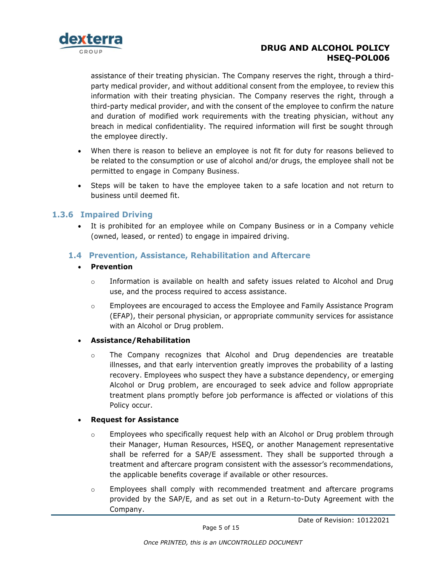

assistance of their treating physician. The Company reserves the right, through a thirdparty medical provider, and without additional consent from the employee, to review this information with their treating physician. The Company reserves the right, through a third-party medical provider, and with the consent of the employee to confirm the nature and duration of modified work requirements with the treating physician, without any breach in medical confidentiality. The required information will first be sought through the employee directly.

- When there is reason to believe an employee is not fit for duty for reasons believed to be related to the consumption or use of alcohol and/or drugs, the employee shall not be permitted to engage in Company Business.
- Steps will be taken to have the employee taken to a safe location and not return to business until deemed fit.

#### **1.3.6 Impaired Driving**

<span id="page-4-0"></span>• It is prohibited for an employee while on Company Business or in a Company vehicle (owned, leased, or rented) to engage in impaired driving.

### <span id="page-4-1"></span>**1.4 Prevention, Assistance, Rehabilitation and Aftercare**

#### • **Prevention**

- o Information is available on health and safety issues related to Alcohol and Drug use, and the process required to access assistance.
- o Employees are encouraged to access the Employee and Family Assistance Program (EFAP), their personal physician, or appropriate community services for assistance with an Alcohol or Drug problem.

#### • **Assistance/Rehabilitation**

 $\circ$  The Company recognizes that Alcohol and Drug dependencies are treatable illnesses, and that early intervention greatly improves the probability of a lasting recovery. Employees who suspect they have a substance dependency, or emerging Alcohol or Drug problem, are encouraged to seek advice and follow appropriate treatment plans promptly before job performance is affected or violations of this Policy occur.

#### • **Request for Assistance**

- $\circ$  Employees who specifically request help with an Alcohol or Drug problem through their Manager, Human Resources, HSEQ, or another Management representative shall be referred for a SAP/E assessment. They shall be supported through a treatment and aftercare program consistent with the assessor's recommendations, the applicable benefits coverage if available or other resources.
- o Employees shall comply with recommended treatment and aftercare programs provided by the SAP/E, and as set out in a Return-to-Duty Agreement with the Company.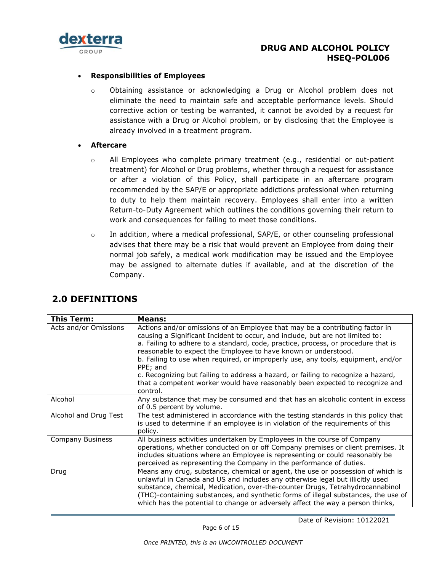

#### • **Responsibilities of Employees**

- o Obtaining assistance or acknowledging a Drug or Alcohol problem does not eliminate the need to maintain safe and acceptable performance levels. Should corrective action or testing be warranted, it cannot be avoided by a request for assistance with a Drug or Alcohol problem, or by disclosing that the Employee is already involved in a treatment program.
- **Aftercare**
	- $\circ$  All Employees who complete primary treatment (e.g., residential or out-patient treatment) for Alcohol or Drug problems, whether through a request for assistance or after a violation of this Policy, shall participate in an aftercare program recommended by the SAP/E or appropriate addictions professional when returning to duty to help them maintain recovery. Employees shall enter into a written Return-to-Duty Agreement which outlines the conditions governing their return to work and consequences for failing to meet those conditions.
	- o In addition, where a medical professional, SAP/E, or other counseling professional advises that there may be a risk that would prevent an Employee from doing their normal job safely, a medical work modification may be issued and the Employee may be assigned to alternate duties if available, and at the discretion of the Company.

| <b>This Term:</b>       | Means:                                                                                                                                                                                                                                                                                                                                                                                                                                                                                                                                                                                                |
|-------------------------|-------------------------------------------------------------------------------------------------------------------------------------------------------------------------------------------------------------------------------------------------------------------------------------------------------------------------------------------------------------------------------------------------------------------------------------------------------------------------------------------------------------------------------------------------------------------------------------------------------|
| Acts and/or Omissions   | Actions and/or omissions of an Employee that may be a contributing factor in<br>causing a Significant Incident to occur, and include, but are not limited to:<br>a. Failing to adhere to a standard, code, practice, process, or procedure that is<br>reasonable to expect the Employee to have known or understood.<br>b. Failing to use when required, or improperly use, any tools, equipment, and/or<br>PPE; and<br>c. Recognizing but failing to address a hazard, or failing to recognize a hazard,<br>that a competent worker would have reasonably been expected to recognize and<br>control. |
| Alcohol                 | Any substance that may be consumed and that has an alcoholic content in excess<br>of 0.5 percent by volume.                                                                                                                                                                                                                                                                                                                                                                                                                                                                                           |
| Alcohol and Drug Test   | The test administered in accordance with the testing standards in this policy that<br>is used to determine if an employee is in violation of the requirements of this<br>policy.                                                                                                                                                                                                                                                                                                                                                                                                                      |
| <b>Company Business</b> | All business activities undertaken by Employees in the course of Company<br>operations, whether conducted on or off Company premises or client premises. It<br>includes situations where an Employee is representing or could reasonably be<br>perceived as representing the Company in the performance of duties.                                                                                                                                                                                                                                                                                    |
| Drug                    | Means any drug, substance, chemical or agent, the use or possession of which is<br>unlawful in Canada and US and includes any otherwise legal but illicitly used<br>substance, chemical, Medication, over-the-counter Drugs, Tetrahydrocannabinol<br>(THC)-containing substances, and synthetic forms of illegal substances, the use of<br>which has the potential to change or adversely affect the way a person thinks,                                                                                                                                                                             |

## <span id="page-5-1"></span><span id="page-5-0"></span>**2.0 DEFINITIONS**

Page 6 of 15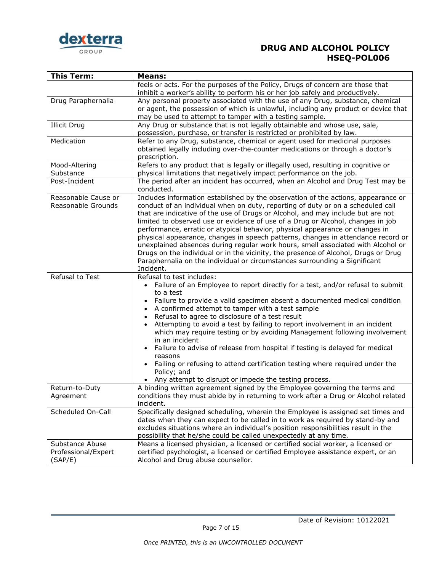

| <b>This Term:</b>                                 | <b>Means:</b>                                                                                                                                                                                                                                                                                                                                                                                                                                                                                                                                                                                                                                                                                                                                                                       |
|---------------------------------------------------|-------------------------------------------------------------------------------------------------------------------------------------------------------------------------------------------------------------------------------------------------------------------------------------------------------------------------------------------------------------------------------------------------------------------------------------------------------------------------------------------------------------------------------------------------------------------------------------------------------------------------------------------------------------------------------------------------------------------------------------------------------------------------------------|
|                                                   | feels or acts. For the purposes of the Policy, Drugs of concern are those that<br>inhibit a worker's ability to perform his or her job safely and productively.                                                                                                                                                                                                                                                                                                                                                                                                                                                                                                                                                                                                                     |
| Drug Paraphernalia                                | Any personal property associated with the use of any Drug, substance, chemical<br>or agent, the possession of which is unlawful, including any product or device that<br>may be used to attempt to tamper with a testing sample.                                                                                                                                                                                                                                                                                                                                                                                                                                                                                                                                                    |
| <b>Illicit Drug</b>                               | Any Drug or substance that is not legally obtainable and whose use, sale,<br>possession, purchase, or transfer is restricted or prohibited by law.                                                                                                                                                                                                                                                                                                                                                                                                                                                                                                                                                                                                                                  |
| Medication                                        | Refer to any Drug, substance, chemical or agent used for medicinal purposes<br>obtained legally including over-the-counter medications or through a doctor's<br>prescription.                                                                                                                                                                                                                                                                                                                                                                                                                                                                                                                                                                                                       |
| Mood-Altering<br>Substance                        | Refers to any product that is legally or illegally used, resulting in cognitive or<br>physical limitations that negatively impact performance on the job.                                                                                                                                                                                                                                                                                                                                                                                                                                                                                                                                                                                                                           |
| Post-Incident                                     | The period after an incident has occurred, when an Alcohol and Drug Test may be<br>conducted.                                                                                                                                                                                                                                                                                                                                                                                                                                                                                                                                                                                                                                                                                       |
| Reasonable Cause or<br>Reasonable Grounds         | Includes information established by the observation of the actions, appearance or<br>conduct of an individual when on duty, reporting of duty or on a scheduled call<br>that are indicative of the use of Drugs or Alcohol, and may include but are not<br>limited to observed use or evidence of use of a Drug or Alcohol, changes in job<br>performance, erratic or atypical behavior, physical appearance or changes in<br>physical appearance, changes in speech patterns, changes in attendance record or<br>unexplained absences during regular work hours, smell associated with Alcohol or<br>Drugs on the individual or in the vicinity, the presence of Alcohol, Drugs or Drug<br>Paraphernalia on the individual or circumstances surrounding a Significant<br>Incident. |
| Refusal to Test                                   | Refusal to test includes:<br>• Failure of an Employee to report directly for a test, and/or refusal to submit<br>to a test<br>Failure to provide a valid specimen absent a documented medical condition<br>A confirmed attempt to tamper with a test sample<br>Refusal to agree to disclosure of a test result<br>Attempting to avoid a test by failing to report involvement in an incident<br>which may require testing or by avoiding Management following involvement<br>in an incident<br>Failure to advise of release from hospital if testing is delayed for medical<br>reasons<br>Failing or refusing to attend certification testing where required under the<br>Policy; and<br>• Any attempt to disrupt or impede the testing process.                                    |
| Return-to-Duty<br>Agreement                       | A binding written agreement signed by the Employee governing the terms and<br>conditions they must abide by in returning to work after a Drug or Alcohol related<br>incident.                                                                                                                                                                                                                                                                                                                                                                                                                                                                                                                                                                                                       |
| Scheduled On-Call                                 | Specifically designed scheduling, wherein the Employee is assigned set times and<br>dates when they can expect to be called in to work as required by stand-by and<br>excludes situations where an individual's position responsibilities result in the<br>possibility that he/she could be called unexpectedly at any time.                                                                                                                                                                                                                                                                                                                                                                                                                                                        |
| Substance Abuse<br>Professional/Expert<br>(SAP/E) | Means a licensed physician, a licensed or certified social worker, a licensed or<br>certified psychologist, a licensed or certified Employee assistance expert, or an<br>Alcohol and Drug abuse counsellor.                                                                                                                                                                                                                                                                                                                                                                                                                                                                                                                                                                         |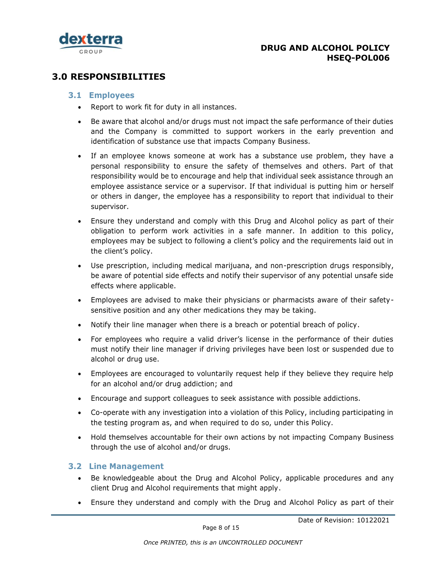

# <span id="page-7-1"></span><span id="page-7-0"></span>**3.0 RESPONSIBILITIES**

#### **3.1 Employees**

- Report to work fit for duty in all instances.
- Be aware that alcohol and/or drugs must not impact the safe performance of their duties and the Company is committed to support workers in the early prevention and identification of substance use that impacts Company Business.
- If an employee knows someone at work has a substance use problem, they have a personal responsibility to ensure the safety of themselves and others. Part of that responsibility would be to encourage and help that individual seek assistance through an employee assistance service or a supervisor. If that individual is putting him or herself or others in danger, the employee has a responsibility to report that individual to their supervisor.
- Ensure they understand and comply with this Drug and Alcohol policy as part of their obligation to perform work activities in a safe manner. In addition to this policy, employees may be subject to following a client's policy and the requirements laid out in the client's policy.
- Use prescription, including medical marijuana, and non-prescription drugs responsibly, be aware of potential side effects and notify their supervisor of any potential unsafe side effects where applicable.
- Employees are advised to make their physicians or pharmacists aware of their safetysensitive position and any other medications they may be taking.
- Notify their line manager when there is a breach or potential breach of policy.
- For employees who require a valid driver's license in the performance of their duties must notify their line manager if driving privileges have been lost or suspended due to alcohol or drug use.
- Employees are encouraged to voluntarily request help if they believe they require help for an alcohol and/or drug addiction; and
- Encourage and support colleagues to seek assistance with possible addictions.
- Co-operate with any investigation into a violation of this Policy, including participating in the testing program as, and when required to do so, under this Policy.
- Hold themselves accountable for their own actions by not impacting Company Business through the use of alcohol and/or drugs.

#### <span id="page-7-2"></span>**3.2 Line Management**

- Be knowledgeable about the Drug and Alcohol Policy, applicable procedures and any client Drug and Alcohol requirements that might apply.
- Ensure they understand and comply with the Drug and Alcohol Policy as part of their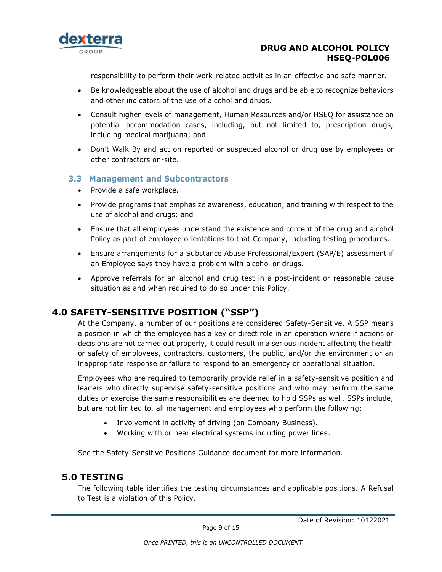

responsibility to perform their work-related activities in an effective and safe manner.

- Be knowledgeable about the use of alcohol and drugs and be able to recognize behaviors and other indicators of the use of alcohol and drugs.
- Consult higher levels of management, Human Resources and/or HSEQ for assistance on potential accommodation cases, including, but not limited to, prescription drugs, including medical marijuana; and
- Don't Walk By and act on reported or suspected alcohol or drug use by employees or other contractors on-site.

#### <span id="page-8-0"></span>**3.3 Management and Subcontractors**

- Provide a safe workplace.
- Provide programs that emphasize awareness, education, and training with respect to the use of alcohol and drugs; and
- Ensure that all employees understand the existence and content of the drug and alcohol Policy as part of employee orientations to that Company, including testing procedures.
- Ensure arrangements for a Substance Abuse Professional/Expert (SAP/E) assessment if an Employee says they have a problem with alcohol or drugs.
- Approve referrals for an alcohol and drug test in a post-incident or reasonable cause situation as and when required to do so under this Policy.

# <span id="page-8-1"></span>**4.0 SAFETY-SENSITIVE POSITION ("SSP")**

At the Company, a number of our positions are considered Safety-Sensitive. A SSP means a position in which the employee has a key or direct role in an operation where if actions or decisions are not carried out properly, it could result in a serious incident affecting the health or safety of employees, contractors, customers, the public, and/or the environment or an inappropriate response or failure to respond to an emergency or operational situation.

Employees who are required to temporarily provide relief in a safety-sensitive position and leaders who directly supervise safety-sensitive positions and who may perform the same duties or exercise the same responsibilities are deemed to hold SSPs as well. SSPs include, but are not limited to, all management and employees who perform the following:

- Involvement in activity of driving (on Company Business).
- Working with or near electrical systems including power lines.

<span id="page-8-2"></span>See the Safety-Sensitive Positions Guidance document for more information.

## **5.0 TESTING**

The following table identifies the testing circumstances and applicable positions. A Refusal to Test is a violation of this Policy.

Page 9 of 15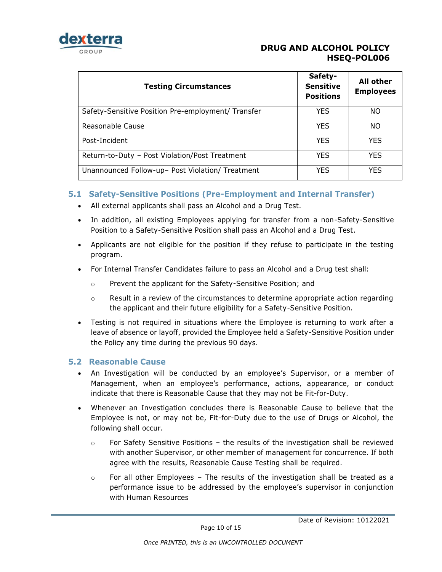

| <b>Testing Circumstances</b>                       | Safety-<br><b>Sensitive</b><br><b>Positions</b> | All other<br><b>Employees</b> |
|----------------------------------------------------|-------------------------------------------------|-------------------------------|
| Safety-Sensitive Position Pre-employment/ Transfer | <b>YES</b>                                      | NO                            |
| Reasonable Cause                                   | <b>YES</b>                                      | NO.                           |
| Post-Incident                                      | <b>YES</b>                                      | <b>YES</b>                    |
| Return-to-Duty - Post Violation/Post Treatment     | <b>YES</b>                                      | <b>YES</b>                    |
| Unannounced Follow-up- Post Violation/ Treatment   | <b>YES</b>                                      | <b>YES</b>                    |

### <span id="page-9-0"></span>**5.1 Safety-Sensitive Positions (Pre-Employment and Internal Transfer)**

- All external applicants shall pass an Alcohol and a Drug Test.
- In addition, all existing Employees applying for transfer from a non-Safety-Sensitive Position to a Safety-Sensitive Position shall pass an Alcohol and a Drug Test.
- Applicants are not eligible for the position if they refuse to participate in the testing program.
- For Internal Transfer Candidates failure to pass an Alcohol and a Drug test shall:
	- o Prevent the applicant for the Safety-Sensitive Position; and
	- o Result in a review of the circumstances to determine appropriate action regarding the applicant and their future eligibility for a Safety-Sensitive Position.
- Testing is not required in situations where the Employee is returning to work after a leave of absence or layoff, provided the Employee held a Safety-Sensitive Position under the Policy any time during the previous 90 days.

#### <span id="page-9-1"></span>**5.2 Reasonable Cause**

- An Investigation will be conducted by an employee's Supervisor, or a member of Management, when an employee's performance, actions, appearance, or conduct indicate that there is Reasonable Cause that they may not be Fit-for-Duty.
- Whenever an Investigation concludes there is Reasonable Cause to believe that the Employee is not, or may not be, Fit-for-Duty due to the use of Drugs or Alcohol, the following shall occur.
	- $\circ$  For Safety Sensitive Positions the results of the investigation shall be reviewed with another Supervisor, or other member of management for concurrence. If both agree with the results, Reasonable Cause Testing shall be required.
	- $\circ$  For all other Employees The results of the investigation shall be treated as a performance issue to be addressed by the employee's supervisor in conjunction with Human Resources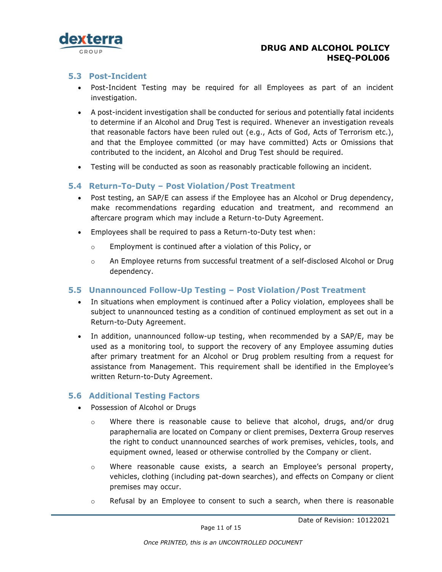

#### <span id="page-10-0"></span>**5.3 Post-Incident**

- Post-Incident Testing may be required for all Employees as part of an incident investigation.
- A post-incident investigation shall be conducted for serious and potentially fatal incidents to determine if an Alcohol and Drug Test is required. Whenever an investigation reveals that reasonable factors have been ruled out (e.g., Acts of God, Acts of Terrorism etc.), and that the Employee committed (or may have committed) Acts or Omissions that contributed to the incident, an Alcohol and Drug Test should be required.
- Testing will be conducted as soon as reasonably practicable following an incident.

#### <span id="page-10-1"></span>**5.4 Return-To-Duty – Post Violation/Post Treatment**

- Post testing, an SAP/E can assess if the Employee has an Alcohol or Drug dependency, make recommendations regarding education and treatment, and recommend an aftercare program which may include a Return-to-Duty Agreement.
- Employees shall be required to pass a Return-to-Duty test when:
	- o Employment is continued after a violation of this Policy, or
	- $\circ$  An Employee returns from successful treatment of a self-disclosed Alcohol or Drug dependency.

#### <span id="page-10-2"></span>**5.5 Unannounced Follow-Up Testing – Post Violation/Post Treatment**

- In situations when employment is continued after a Policy violation, employees shall be subject to unannounced testing as a condition of continued employment as set out in a Return-to-Duty Agreement.
- In addition, unannounced follow-up testing, when recommended by a SAP/E, may be used as a monitoring tool, to support the recovery of any Employee assuming duties after primary treatment for an Alcohol or Drug problem resulting from a request for assistance from Management. This requirement shall be identified in the Employee's written Return-to-Duty Agreement.

#### <span id="page-10-3"></span>**5.6 Additional Testing Factors**

- Possession of Alcohol or Drugs
	- $\circ$  Where there is reasonable cause to believe that alcohol, drugs, and/or drug paraphernalia are located on Company or client premises, Dexterra Group reserves the right to conduct unannounced searches of work premises, vehicles, tools, and equipment owned, leased or otherwise controlled by the Company or client.
	- o Where reasonable cause exists, a search an Employee's personal property, vehicles, clothing (including pat-down searches), and effects on Company or client premises may occur.
	- $\circ$  Refusal by an Employee to consent to such a search, when there is reasonable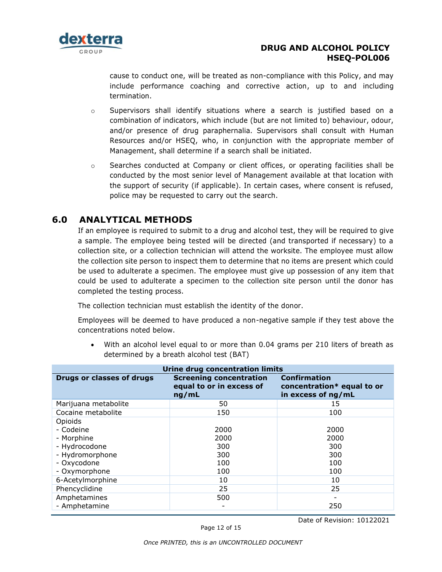

cause to conduct one, will be treated as non-compliance with this Policy, and may include performance coaching and corrective action, up to and including termination.

- $\circ$  Supervisors shall identify situations where a search is justified based on a combination of indicators, which include (but are not limited to) behaviour, odour, and/or presence of drug paraphernalia. Supervisors shall consult with Human Resources and/or HSEQ, who, in conjunction with the appropriate member of Management, shall determine if a search shall be initiated.
- $\circ$  Searches conducted at Company or client offices, or operating facilities shall be conducted by the most senior level of Management available at that location with the support of security (if applicable). In certain cases, where consent is refused, police may be requested to carry out the search.

# **6.0 ANALYTICAL METHODS**

<span id="page-11-0"></span>If an employee is required to submit to a drug and alcohol test, they will be required to give a sample. The employee being tested will be directed (and transported if necessary) to a collection site, or a collection technician will attend the worksite. The employee must allow the collection site person to inspect them to determine that no items are present which could be used to adulterate a specimen. The employee must give up possession of any item that could be used to adulterate a specimen to the collection site person until the donor has completed the testing process.

The collection technician must establish the identity of the donor.

Employees will be deemed to have produced a non-negative sample if they test above the concentrations noted below.

With an alcohol level equal to or more than 0.04 grams per 210 liters of breath as determined by a breath alcohol test (BAT)

| <b>Urine drug concentration limits</b> |                                                                     |                                                                         |  |
|----------------------------------------|---------------------------------------------------------------------|-------------------------------------------------------------------------|--|
| Drugs or classes of drugs              | <b>Screening concentration</b><br>equal to or in excess of<br>ng/mL | <b>Confirmation</b><br>concentration* equal to or<br>in excess of ng/mL |  |
| Marijuana metabolite                   | 50                                                                  | 15                                                                      |  |
| Cocaine metabolite                     | 150                                                                 | 100                                                                     |  |
| Opioids                                |                                                                     |                                                                         |  |
| - Codeine                              | 2000                                                                | 2000                                                                    |  |
| - Morphine                             | 2000                                                                | 2000                                                                    |  |
| - Hydrocodone                          | 300                                                                 | 300                                                                     |  |
| - Hydromorphone                        | 300                                                                 | 300                                                                     |  |
| - Oxycodone                            | 100                                                                 | 100                                                                     |  |
| - Oxymorphone                          | 100                                                                 | 100                                                                     |  |
| 6-Acetylmorphine                       | 10                                                                  | 10                                                                      |  |
| Phencyclidine                          | 25                                                                  | 25                                                                      |  |
| Amphetamines                           | 500                                                                 |                                                                         |  |
| - Amphetamine                          |                                                                     | 250                                                                     |  |

Date of Revision: 10122021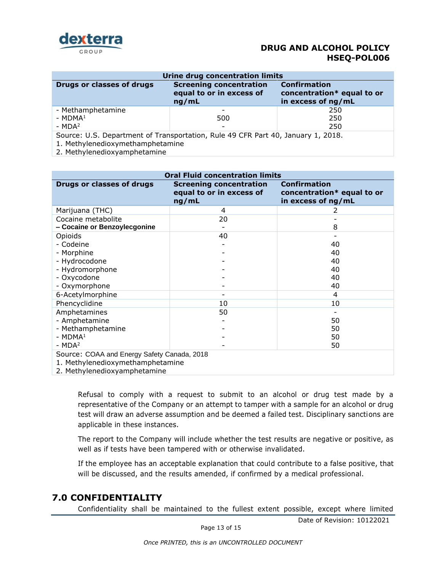

| Urine drug concentration limits                                                                                      |                                                                     |                                                                         |  |
|----------------------------------------------------------------------------------------------------------------------|---------------------------------------------------------------------|-------------------------------------------------------------------------|--|
| Drugs or classes of drugs                                                                                            | <b>Screening concentration</b><br>equal to or in excess of<br>ng/mL | <b>Confirmation</b><br>concentration* equal to or<br>in excess of ng/mL |  |
| - Methamphetamine                                                                                                    |                                                                     | 250                                                                     |  |
| - $MDMA1$                                                                                                            | 500                                                                 | 250                                                                     |  |
| - $MDA2$                                                                                                             | $\overline{\phantom{0}}$                                            | 250                                                                     |  |
| Source: U.S. Department of Transportation, Rule 49 CFR Part 40, January 1, 2018.<br>1. Methylenedioxymethamphetamine |                                                                     |                                                                         |  |

2. Methylenedioxyamphetamine

| <b>Oral Fluid concentration limits</b>                                                                          |                                                                     |                                                                         |  |
|-----------------------------------------------------------------------------------------------------------------|---------------------------------------------------------------------|-------------------------------------------------------------------------|--|
| <b>Drugs or classes of drugs</b>                                                                                | <b>Screening concentration</b><br>equal to or in excess of<br>ng/mL | <b>Confirmation</b><br>concentration* equal to or<br>in excess of ng/mL |  |
| Marijuana (THC)                                                                                                 | 4                                                                   |                                                                         |  |
| Cocaine metabolite<br>- Cocaine or Benzoylecgonine                                                              | 20                                                                  | 8                                                                       |  |
| Opioids                                                                                                         | 40                                                                  |                                                                         |  |
| - Codeine                                                                                                       |                                                                     | 40                                                                      |  |
| - Morphine                                                                                                      |                                                                     | 40                                                                      |  |
| - Hydrocodone                                                                                                   |                                                                     | 40                                                                      |  |
| - Hydromorphone                                                                                                 |                                                                     | 40                                                                      |  |
| - Oxycodone                                                                                                     |                                                                     | 40                                                                      |  |
| - Oxymorphone                                                                                                   |                                                                     | 40                                                                      |  |
| 6-Acetylmorphine                                                                                                |                                                                     | 4                                                                       |  |
| Phencyclidine                                                                                                   | 10                                                                  | 10                                                                      |  |
| Amphetamines                                                                                                    | 50                                                                  |                                                                         |  |
| - Amphetamine                                                                                                   |                                                                     | 50                                                                      |  |
| - Methamphetamine                                                                                               |                                                                     | 50                                                                      |  |
| $-MDMA1$                                                                                                        |                                                                     | 50                                                                      |  |
| $-MDA2$                                                                                                         |                                                                     | 50                                                                      |  |
| Source: COAA and Energy Safety Canada, 2018<br>1. Methylenedioxymethamphetamine<br>2. Methylenedioxyamphetamine |                                                                     |                                                                         |  |

Refusal to comply with a request to submit to an alcohol or drug test made by a representative of the Company or an attempt to tamper with a sample for an alcohol or drug test will draw an adverse assumption and be deemed a failed test. Disciplinary sanctions are applicable in these instances.

The report to the Company will include whether the test results are negative or positive, as well as if tests have been tampered with or otherwise invalidated.

If the employee has an acceptable explanation that could contribute to a false positive, that will be discussed, and the results amended, if confirmed by a medical professional.

## <span id="page-12-0"></span>**7.0 CONFIDENTIALITY**

Confidentiality shall be maintained to the fullest extent possible, except where limited

Page 13 of 15

Date of Revision: 10122021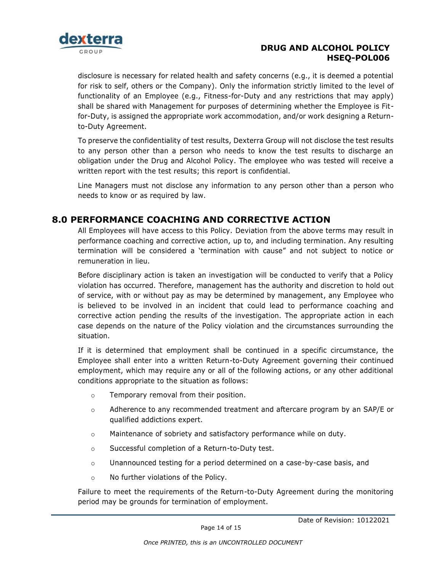

disclosure is necessary for related health and safety concerns (e.g., it is deemed a potential for risk to self, others or the Company). Only the information strictly limited to the level of functionality of an Employee (e.g., Fitness-for-Duty and any restrictions that may apply) shall be shared with Management for purposes of determining whether the Employee is Fitfor-Duty, is assigned the appropriate work accommodation, and/or work designing a Returnto-Duty Agreement.

To preserve the confidentiality of test results, Dexterra Group will not disclose the test results to any person other than a person who needs to know the test results to discharge an obligation under the Drug and Alcohol Policy. The employee who was tested will receive a written report with the test results; this report is confidential.

Line Managers must not disclose any information to any person other than a person who needs to know or as required by law.

# <span id="page-13-0"></span>**8.0 PERFORMANCE COACHING AND CORRECTIVE ACTION**

All Employees will have access to this Policy. Deviation from the above terms may result in performance coaching and corrective action, up to, and including termination. Any resulting termination will be considered a 'termination with cause" and not subject to notice or remuneration in lieu.

Before disciplinary action is taken an investigation will be conducted to verify that a Policy violation has occurred. Therefore, management has the authority and discretion to hold out of service, with or without pay as may be determined by management, any Employee who is believed to be involved in an incident that could lead to performance coaching and corrective action pending the results of the investigation. The appropriate action in each case depends on the nature of the Policy violation and the circumstances surrounding the situation.

If it is determined that employment shall be continued in a specific circumstance, the Employee shall enter into a written Return-to-Duty Agreement governing their continued employment, which may require any or all of the following actions, or any other additional conditions appropriate to the situation as follows:

- o Temporary removal from their position.
- $\circ$  Adherence to any recommended treatment and aftercare program by an SAP/E or qualified addictions expert.
- o Maintenance of sobriety and satisfactory performance while on duty.
- o Successful completion of a Return-to-Duty test.
- $\circ$  Unannounced testing for a period determined on a case-by-case basis, and
- o No further violations of the Policy.

Failure to meet the requirements of the Return-to-Duty Agreement during the monitoring period may be grounds for termination of employment.